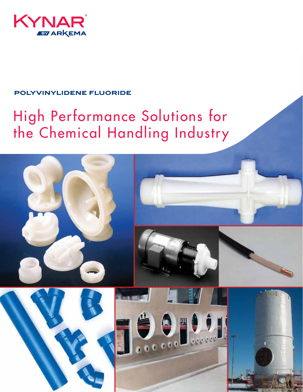

## **polyvinylidene fluoride**

# High Performance Solutions for the Chemical Handling Industry